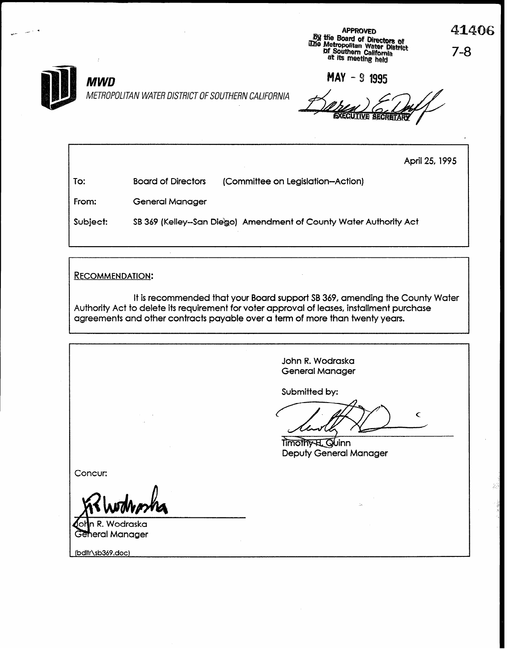APPROVED<br>*By* the Board of Directors of<br>*Discrimental Water District*<br>*Discrimental Metropolitan water District*<br>at its meeting held<br>at its meeting held

41406



MWD METROPOLITAN WATER DISTRICT OF SOUTHERN CALIFORNIA

MAY - 9 1995

April 25,1995

| To:      | <b>Board of Directors</b> | (Committee on Legislation--Action)                                |
|----------|---------------------------|-------------------------------------------------------------------|
| From:    | General Manager           |                                                                   |
| Subject: |                           | SB 369 (Kelley-San Diego) Amendment of County Water Authority Act |

RECOMMENDATION:

It is recommended that your Board support SB 369, amending the County Water Authority Act to delete its requirement for voter approval of leases, installment purchase agreements and other contracts payable over a term of more than twenty years.

John R. Wodraska General Manager Submitted by:  $\mathbf{C}$ Timothy H. Quinn Deputy General Manager Concur: n R. Wodraska General Manager (bdltr\sb369.doc)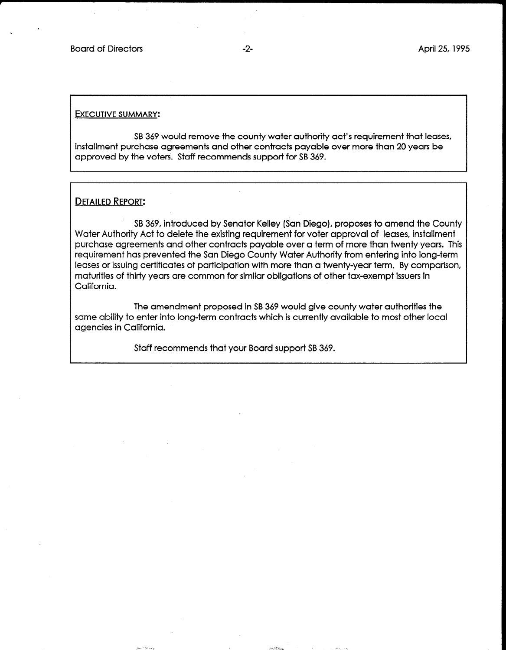#### EXECUTIVE SUMMARY:

SB 369 would remove the county water authority act's requirement that leases, installment purchase agreements and other contracts payable over more than 20 years be approved by the voters. Staff recommends support for SB 369.

### DETAILED REPORT:

SB 369, introduced by Senator Kelley (San Diego), proposes to amend the County Water Authority Act to delete the existing requirement for voter approval of leases, installment purchase agreements and other contracts payable over a term of more than twenty years. This requirement has prevented the San Diego County Water Authority from entering into long-term leases or issuing certificates of participation with more than a twenty-year term. By comparison, maturities of thirty years are common for similar obligations of other tax-exempt issuers in California.

The amendment proposed in SB 369 would give county water authorities the same ability to enter into long-term contracts which is currently available to most other local agencies in California.

 $\lambda$  and  $\lambda$  and  $\lambda$  in the set of  $\lambda$  in the set of  $\lambda$  in the set of  $\lambda$  in the set of  $\lambda$ 

+ .2 - z g!

 $\mathcal{I}^{\text{max}}_{\text{max}}$  . In the property of the set of the set of the set of the set of the set of the set of the set of the set of the set of the set of the set of the set of the set of the set of the set of the set of the

Staff recommends that your Board support SB 369.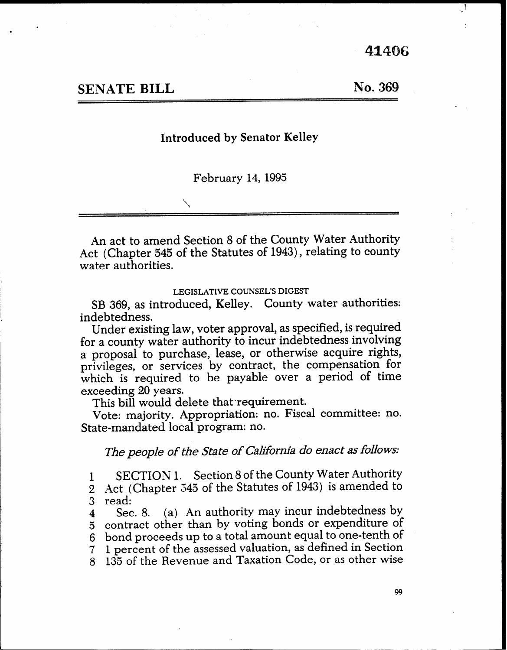41406

ا پ

# SENATE BILL

No. 369

## Introduced by Senator Kelley

February 14,1995

An act to amend Section 8 of the County Water Authority Act (Chapter 545 of the Statutes of 1943), relating to county water authorities.

### LEGISLATIVE COUNSEL'S DIGEST

SB 369, as introduced, Kelley. County water authorities: indebtedness.

Under existing law, voter approval, as specified, is required for a county water authority to incur indebtedness involving a proposal to purchase, lease, or otherwise acquire rights, privileges, or services by contract, the compensation for which is required to be payable over a period of time exceeding 20 years.

This bill would delete that requirement.

Vote: majority. Appropriation: no. Fiscal committee: no. State-mandated local program: no.

The people of the State of California do enact as follows:

1 SECTION 1. Section 8 of the County Water Authority 2 Act (Chapter 545 of the Statutes of 1943) is amended to

3 read:

4 Sec. 8. (a) An authority may incur indebtedness by 5 contract other than by voting bonds or expenditure of 6 bond proceeds up to a total amount equal to one-tenth of 7 1 percent of the assessed valuation, as defined in Section 8 135 of the Revenue and Taxation Code, or as other wise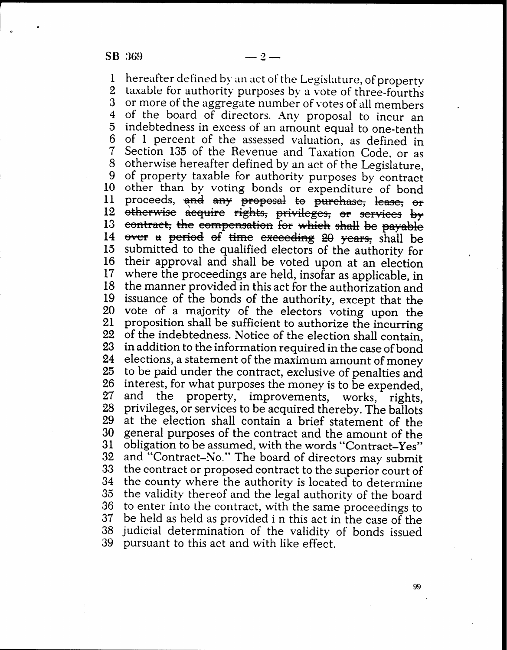SB 369

1 2 3 4  $\overline{5}$ 6 7 8 9 10 11 12 13 14 15 16 17 18 19 20 21 22 23 24 25 26 27 28 29 30 31 32 33 34 35 36 37 38 39 hereafter defined by an act of the Legislature, of property taxable for authority purposes by a vote of three-fourths or more of the aggregate number of votes of all members . of the board of directors. Any proposal to incur an indebtedness in excess of an amount equal to one-tenth of 1 percent of the assessed valuation, as defined in Section 135 of the Revenue and Taxation Code, or as otherwise hereafter defined by an act of the Legislature, of property taxable for authority purposes by contract other than by voting bonds or expenditure of bond proceeds, and any proposal to purchase, lease, or  $_{\rm{otherwise}}$ contract, the compensation for which shall be payable over a period of time exceeding 20 years, shall be submitted to the qualified electors of the authority for their approval and shall be voted upon at an election where the proceedings are held, insofar as applicable, in the manner provided in this act for the authorization and issuance of the bonds of the authority, except that the vote of a majority of the electors voting upon the proposition shall be sufficient to authorize the incurring of the indebtedness. Notice of the election shall contain, in addition to the information required in the case of bond elections, a statement of the maximum amount of money to be paid under the contract, exclusive of penalties and interest, for what purposes the money is to be expended, and the property, improvements, works, rights, privileges, or services to be acquired thereby. The ballots at the election shall contain a brief statement of the general purposes of the contract and the amount of the obligation to be assumed, with the words "Contract-Yes" and "Contract-No." The board of directors may submit the contract or proposed contract to the superior court of the county where the authority is located to determine the validity thereof and the legal authority of the board to enter into the contract, with the same proceedings to be held as held as provided i n this act in the case of the judicial determination of the validitv of bonds issued pursuant to this act and with like effect.

99

 $\mathbf{v}$